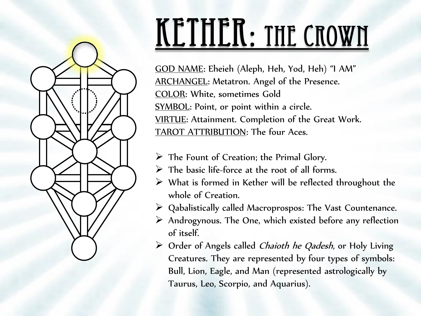

#### KETHER: THE CROWN

GOD NAME: Eheieh (Aleph, Heh, Yod, Heh) "I AM" ARCHANGEL: Metatron. Angel of the Presence. COLOR: White, sometimes Gold SYMBOL: Point, or point within a circle. VIRTUE: Attainment. Completion of the Great Work. TAROT ATTRIBUTION: The four Aces.

- $\triangleright$  The Fount of Creation; the Primal Glory.
- $\triangleright$  The basic life-force at the root of all forms.
- $\triangleright$  What is formed in Kether will be reflected throughout the whole of Creation.
- Qabalistically called Macroprospos: The Vast Countenance.
- Androgynous. The One, which existed before any reflection of itself.
- $\triangleright$  Order of Angels called *Chaioth he Qadesh*, or Holy Living Creatures. They are represented by four types of symbols: Bull, Lion, Eagle, and Man (represented astrologically by Taurus, Leo, Scorpio, and Aquarius).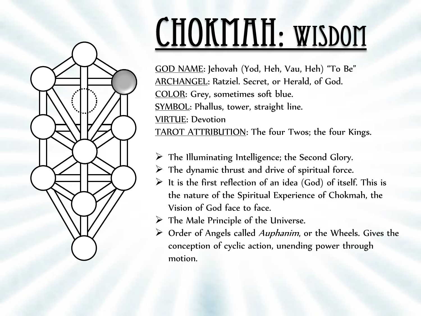

# CHOKMAH: WISDOM

GOD NAME: Jehovah (Yod, Heh, Vau, Heh) "To Be" ARCHANGEL: Ratziel. Secret, or Herald, of God. COLOR: Grey, sometimes soft blue. SYMBOL: Phallus, tower, straight line. VIRTUE: Devotion TAROT ATTRIBUTION: The four Twos; the four Kings.

- $\triangleright$  The Illuminating Intelligence; the Second Glory.
- $\triangleright$  The dynamic thrust and drive of spiritual force.
- $\triangleright$  It is the first reflection of an idea (God) of itself. This is the nature of the Spiritual Experience of Chokmah, the Vision of God face to face.
- $\triangleright$  The Male Principle of the Universe.
- $\triangleright$  Order of Angels called *Auphanim*, or the Wheels. Gives the conception of cyclic action, unending power through motion.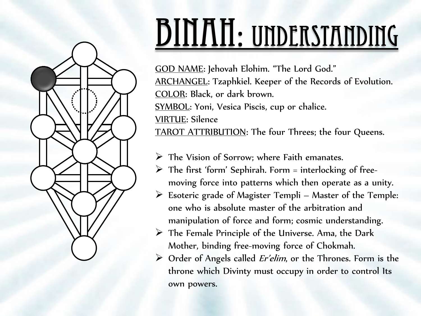

#### BINAH: UNDERSTANDING

GOD NAME: Jehovah Elohim. "The Lord God." ARCHANGEL: Tzaphkiel. Keeper of the Records of Evolution. COLOR: Black, or dark brown. SYMBOL: Yoni, Vesica Piscis, cup or chalice. VIRTUE: Silence TAROT ATTRIBUTION: The four Threes; the four Queens.

- $\triangleright$  The Vision of Sorrow; where Faith emanates.
- $\triangleright$  The first 'form' Sephirah. Form = interlocking of freemoving force into patterns which then operate as a unity.
- $\triangleright$  Esoteric grade of Magister Templi Master of the Temple: one who is absolute master of the arbitration and manipulation of force and form; cosmic understanding.
- $\triangleright$  The Female Principle of the Universe. Ama, the Dark Mother, binding free-moving force of Chokmah.
- $\triangleright$  Order of Angels called *Er'elim*, or the Thrones. Form is the throne which Divinty must occupy in order to control Its own powers.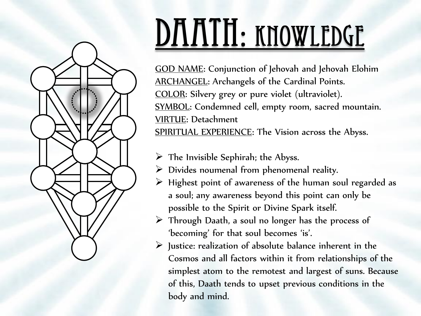

## DAATH: KNOWLEDGE

GOD NAME: Conjunction of Jehovah and Jehovah Elohim ARCHANGEL: Archangels of the Cardinal Points. COLOR: Silvery grey or pure violet (ultraviolet). SYMBOL: Condemned cell, empty room, sacred mountain. VIRTUE: Detachment SPIRITUAL EXPERIENCE: The Vision across the Abyss.

- $\triangleright$  The Invisible Sephirah; the Abyss.
- $\triangleright$  Divides noumenal from phenomenal reality.
- $\triangleright$  Highest point of awareness of the human soul regarded as a soul; any awareness beyond this point can only be possible to the Spirit or Divine Spark itself.
- $\triangleright$  Through Daath, a soul no longer has the process of 'becoming' for that soul becomes 'is'.
- $\triangleright$  Justice: realization of absolute balance inherent in the Cosmos and all factors within it from relationships of the simplest atom to the remotest and largest of suns. Because of this, Daath tends to upset previous conditions in the body and mind.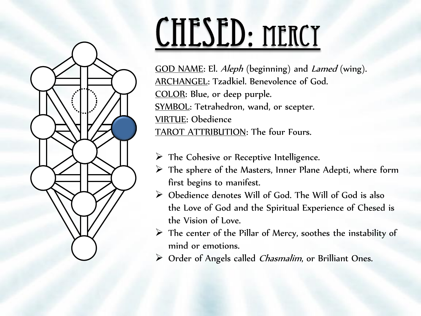

# CHESED: MERCY

GOD NAME: El. *Aleph* (beginning) and *Lamed* (wing). ARCHANGEL: Tzadkiel. Benevolence of God. COLOR: Blue, or deep purple. SYMBOL: Tetrahedron, wand, or scepter. VIRTUE: Obedience TAROT ATTRIBUTION: The four Fours.

- $\triangleright$  The Cohesive or Receptive Intelligence.
- $\triangleright$  The sphere of the Masters, Inner Plane Adepti, where form first begins to manifest.
- Obedience denotes Will of God. The Will of God is also the Love of God and the Spiritual Experience of Chesed is the Vision of Love.
- $\triangleright$  The center of the Pillar of Mercy, soothes the instability of mind or emotions.
- $\triangleright$  Order of Angels called *Chasmalim*, or Brilliant Ones.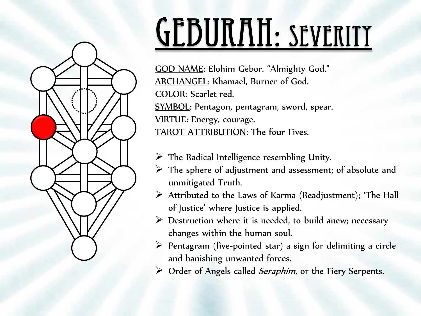

### GEBURAH: SEVERITY

GOD NAME: Elohim Gebor. "Almighty God." ARCHANGEL: Khamael, Burner of God. COLOR: Scarlet red. SYMBOL: Pentagon, pentagram, sword, spear. VIRTUE: Energy, courage. TAROT ATTRIBUTION: The four Fives.

- $\triangleright$  The Radical Intelligence resembling Unity.
- $\triangleright$  The sphere of adjustment and assessment; of absolute and unmitigated Truth.
- $\triangleright$  Attributed to the Laws of Karma (Readjustment); 'The Hall of Justice' where Justice is applied.
- $\triangleright$  Destruction where it is needed, to build anew; necessary changes within the human soul.
- $\triangleright$  Pentagram (five-pointed star) a sign for delimiting a circle and banishing unwanted forces.
- $\triangleright$  Order of Angels called *Seraphim*, or the Fiery Serpents.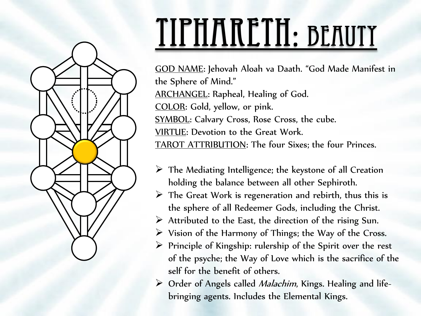

### TIPHARETH: BEAUTY

GOD NAME: Jehovah Aloah va Daath. "God Made Manifest in the Sphere of Mind." ARCHANGEL: Rapheal, Healing of God. COLOR: Gold, yellow, or pink. **SYMBOL:** Calvary Cross, Rose Cross, the cube. VIRTUE: Devotion to the Great Work. TAROT ATTRIBUTION: The four Sixes; the four Princes.

- $\triangleright$  The Mediating Intelligence; the keystone of all Creation holding the balance between all other Sephiroth.
- $\triangleright$  The Great Work is regeneration and rebirth, thus this is the sphere of all Redeemer Gods, including the Christ.
- $\triangleright$  Attributed to the East, the direction of the rising Sun.
- $\triangleright$  Vision of the Harmony of Things; the Way of the Cross.
- $\triangleright$  Principle of Kingship: rulership of the Spirit over the rest of the psyche; the Way of Love which is the sacrifice of the self for the benefit of others.
- $\triangleright$  Order of Angels called *Malachim*, Kings. Healing and lifebringing agents. Includes the Elemental Kings.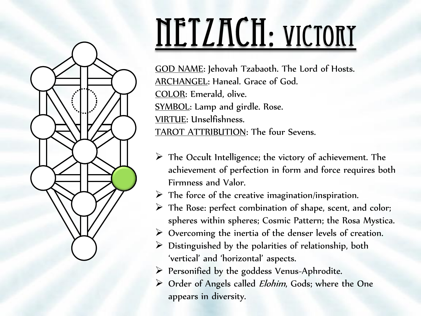

# NETZACH: VICTORY

GOD NAME: Jehovah Tzabaoth. The Lord of Hosts. ARCHANGEL: Haneal. Grace of God. COLOR: Emerald, olive. SYMBOL: Lamp and girdle. Rose. VIRTUE: Unselfishness. TAROT ATTRIBUTION: The four Sevens.

- $\triangleright$  The Occult Intelligence; the victory of achievement. The achievement of perfection in form and force requires both Firmness and Valor.
- $\triangleright$  The force of the creative imagination/inspiration.
- The Rose: perfect combination of shape, scent, and color; spheres within spheres; Cosmic Pattern; the Rosa Mystica.
- $\triangleright$  Overcoming the inertia of the denser levels of creation.
- $\triangleright$  Distinguished by the polarities of relationship, both 'vertical' and 'horizontal' aspects.
- Personified by the goddess Venus-Aphrodite.
- $\triangleright$  Order of Angels called *Elohim*, Gods; where the One appears in diversity.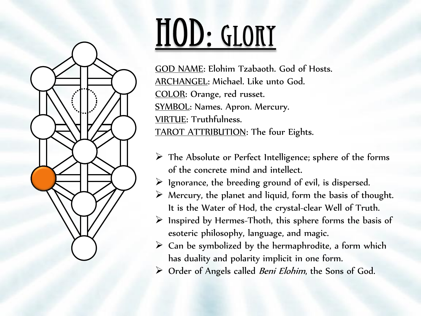

### HOD: GLORY

GOD NAME: Elohim Tzabaoth. God of Hosts. ARCHANGEL: Michael. Like unto God. COLOR: Orange, red russet. SYMBOL: Names. Apron. Mercury. VIRTUE: Truthfulness. TAROT ATTRIBUTION: The four Eights.

- $\triangleright$  The Absolute or Perfect Intelligence; sphere of the forms of the concrete mind and intellect.
- $\triangleright$  1 gnorance, the breeding ground of evil, is dispersed.
- $\triangleright$  Mercury, the planet and liquid, form the basis of thought. It is the Water of Hod, the crystal-clear Well of Truth.
- $\triangleright$  Inspired by Hermes-Thoth, this sphere forms the basis of esoteric philosophy, language, and magic.
- $\triangleright$  Can be symbolized by the hermaphrodite, a form which has duality and polarity implicit in one form.
- $\triangleright$  Order of Angels called *Beni Elohim*, the Sons of God.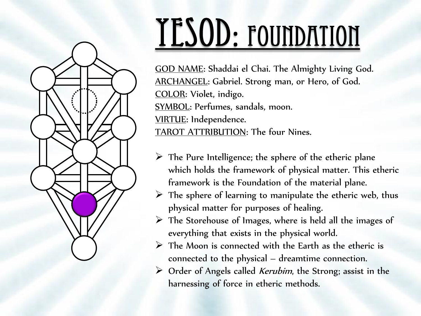

### YESOD: FOUNDATION

GOD NAME: Shaddai el Chai. The Almighty Living God. ARCHANGEL: Gabriel. Strong man, or Hero, of God. COLOR: Violet, indigo. SYMBOL: Perfumes, sandals, moon. VIRTUE: Independence. TAROT ATTRIBUTION: The four Nines.

- $\triangleright$  The Pure Intelligence; the sphere of the etheric plane which holds the framework of physical matter. This etheric framework is the Foundation of the material plane.
- $\triangleright$  The sphere of learning to manipulate the etheric web, thus physical matter for purposes of healing.
- $\triangleright$  The Storehouse of Images, where is held all the images of everything that exists in the physical world.
- $\triangleright$  The Moon is connected with the Earth as the etheric is connected to the physical – dreamtime connection.
- $\triangleright$  Order of Angels called *Kerubim*, the Strong; assist in the harnessing of force in etheric methods.